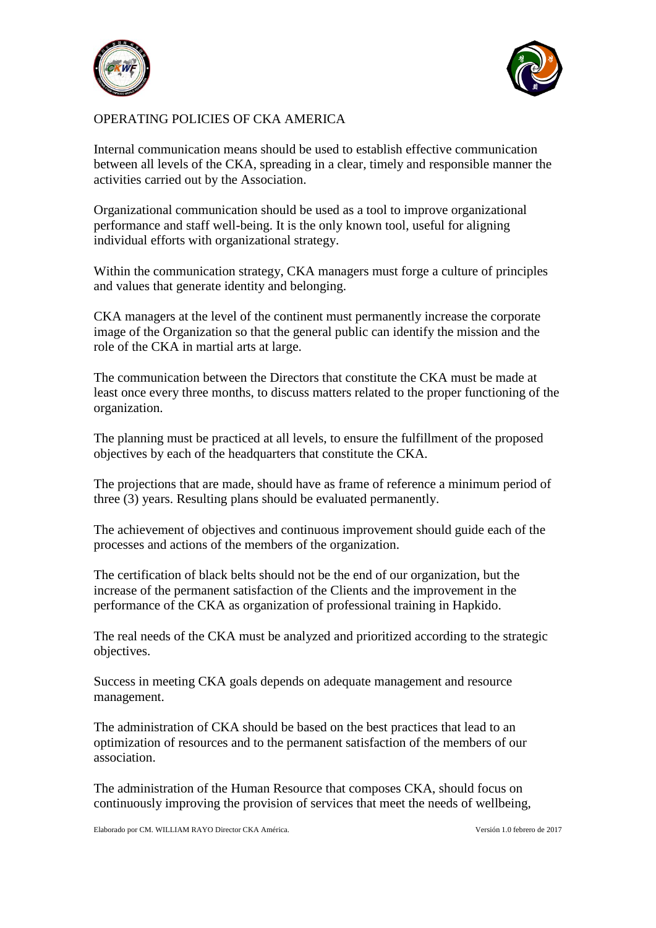



## OPERATING POLICIES OF CKA AMERICA

Internal communication means should be used to establish effective communication between all levels of the CKA, spreading in a clear, timely and responsible manner the activities carried out by the Association.

Organizational communication should be used as a tool to improve organizational performance and staff well-being. It is the only known tool, useful for aligning individual efforts with organizational strategy.

Within the communication strategy, CKA managers must forge a culture of principles and values that generate identity and belonging.

CKA managers at the level of the continent must permanently increase the corporate image of the Organization so that the general public can identify the mission and the role of the CKA in martial arts at large.

The communication between the Directors that constitute the CKA must be made at least once every three months, to discuss matters related to the proper functioning of the organization.

The planning must be practiced at all levels, to ensure the fulfillment of the proposed objectives by each of the headquarters that constitute the CKA.

The projections that are made, should have as frame of reference a minimum period of three (3) years. Resulting plans should be evaluated permanently.

The achievement of objectives and continuous improvement should guide each of the processes and actions of the members of the organization.

The certification of black belts should not be the end of our organization, but the increase of the permanent satisfaction of the Clients and the improvement in the performance of the CKA as organization of professional training in Hapkido.

The real needs of the CKA must be analyzed and prioritized according to the strategic objectives.

Success in meeting CKA goals depends on adequate management and resource management.

The administration of CKA should be based on the best practices that lead to an optimization of resources and to the permanent satisfaction of the members of our association.

The administration of the Human Resource that composes CKA, should focus on continuously improving the provision of services that meet the needs of wellbeing,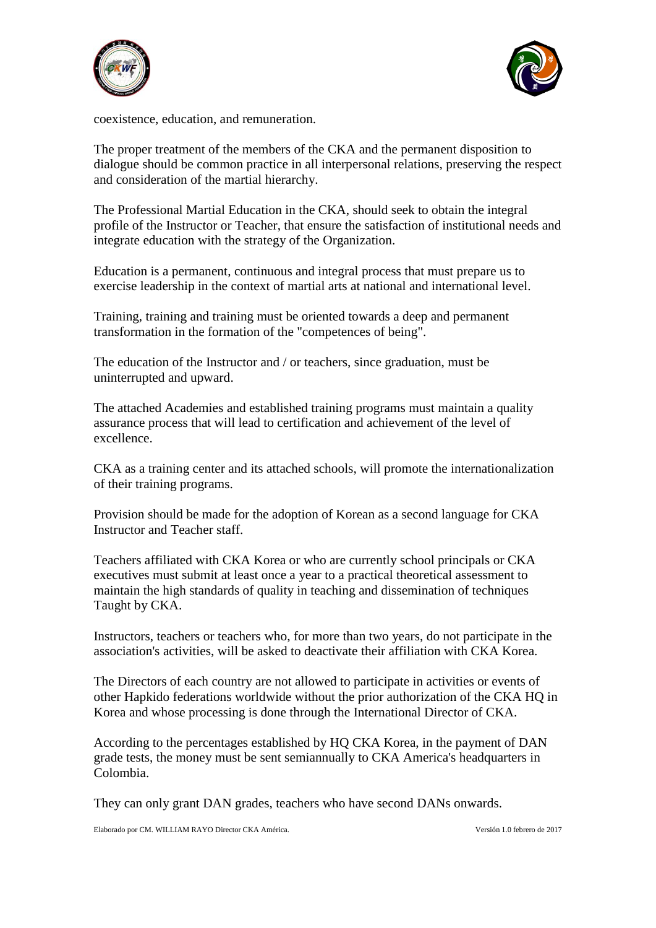



coexistence, education, and remuneration.

The proper treatment of the members of the CKA and the permanent disposition to dialogue should be common practice in all interpersonal relations, preserving the respect and consideration of the martial hierarchy.

The Professional Martial Education in the CKA, should seek to obtain the integral profile of the Instructor or Teacher, that ensure the satisfaction of institutional needs and integrate education with the strategy of the Organization.

Education is a permanent, continuous and integral process that must prepare us to exercise leadership in the context of martial arts at national and international level.

Training, training and training must be oriented towards a deep and permanent transformation in the formation of the "competences of being".

The education of the Instructor and / or teachers, since graduation, must be uninterrupted and upward.

The attached Academies and established training programs must maintain a quality assurance process that will lead to certification and achievement of the level of excellence.

CKA as a training center and its attached schools, will promote the internationalization of their training programs.

Provision should be made for the adoption of Korean as a second language for CKA Instructor and Teacher staff.

Teachers affiliated with CKA Korea or who are currently school principals or CKA executives must submit at least once a year to a practical theoretical assessment to maintain the high standards of quality in teaching and dissemination of techniques Taught by CKA.

Instructors, teachers or teachers who, for more than two years, do not participate in the association's activities, will be asked to deactivate their affiliation with CKA Korea.

The Directors of each country are not allowed to participate in activities or events of other Hapkido federations worldwide without the prior authorization of the CKA HQ in Korea and whose processing is done through the International Director of CKA.

According to the percentages established by HQ CKA Korea, in the payment of DAN grade tests, the money must be sent semiannually to CKA America's headquarters in Colombia.

They can only grant DAN grades, teachers who have second DANs onwards.